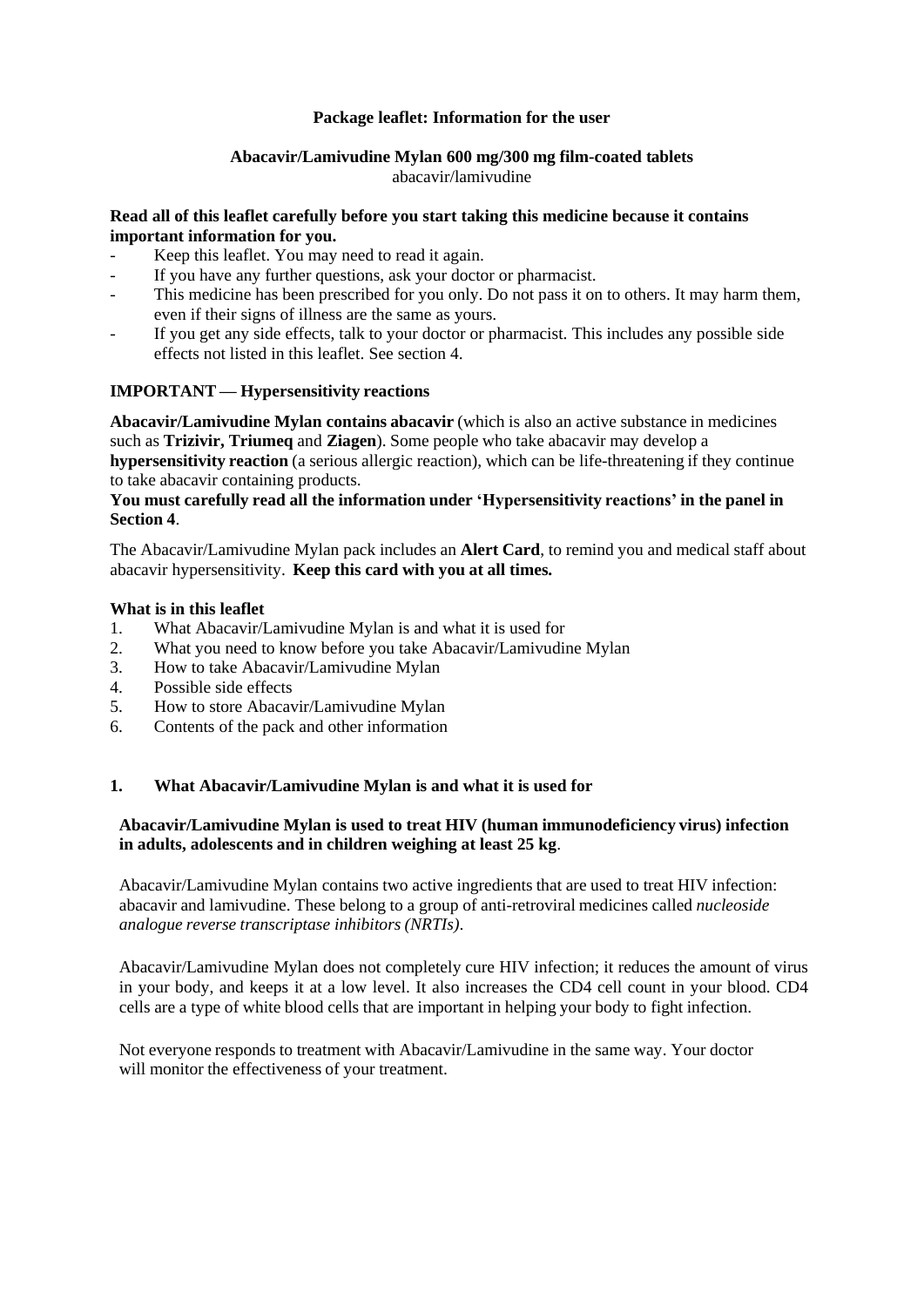## **Package leaflet: Information for the user**

## **Abacavir/Lamivudine Mylan 600 mg/300 mg film-coated tablets**

abacavir/lamivudine

### **Read all of this leaflet carefully before you start taking this medicine because it contains important information for you.**

- Keep this leaflet. You may need to read it again.
- If you have any further questions, ask your doctor or pharmacist.
- This medicine has been prescribed for you only. Do not pass it on to others. It may harm them, even if their signs of illness are the same as yours.
- If you get any side effects, talk to your doctor or pharmacist. This includes any possible side effects not listed in this leaflet. See section 4.

## **IMPORTANT — Hypersensitivity reactions**

**Abacavir/Lamivudine Mylan contains abacavir** (which is also an active substance in medicines such as **Trizivir, Triumeq** and **Ziagen**). Some people who take abacavir may develop a **hypersensitivity reaction** (a serious allergic reaction), which can be life-threatening if they continue to take abacavir containing products.

### **You must carefully read all the information under 'Hypersensitivity reactions' in the panel in Section 4**.

The Abacavir/Lamivudine Mylan pack includes an **Alert Card**, to remind you and medical staff about abacavir hypersensitivity. **Keep this card with you at all times.**

### **What is in this leaflet**

- 1. What Abacavir/Lamivudine Mylan is and what it is used for
- 2. What you need to know before you take Abacavir/Lamivudine Mylan
- 3. How to take Abacavir/Lamivudine Mylan
- 4. Possible side effects
- 5. How to store Abacavir/Lamivudine Mylan
- 6. Contents of the pack and other information

### **1. What Abacavir/Lamivudine Mylan is and what it is used for**

### **Abacavir/Lamivudine Mylan is used to treat HIV (human immunodeficiency virus) infection in adults, adolescents and in children weighing at least 25 kg**.

Abacavir/Lamivudine Mylan contains two active ingredients that are used to treat HIV infection: abacavir and lamivudine. These belong to a group of anti-retroviral medicines called *nucleoside analogue reverse transcriptase inhibitors (NRTIs)*.

Abacavir/Lamivudine Mylan does not completely cure HIV infection; it reduces the amount of virus in your body, and keeps it at a low level. It also increases the CD4 cell count in your blood. CD4 cells are a type of white blood cells that are important in helping your body to fight infection.

Not everyone responds to treatment with Abacavir/Lamivudine in the same way. Your doctor will monitor the effectiveness of your treatment.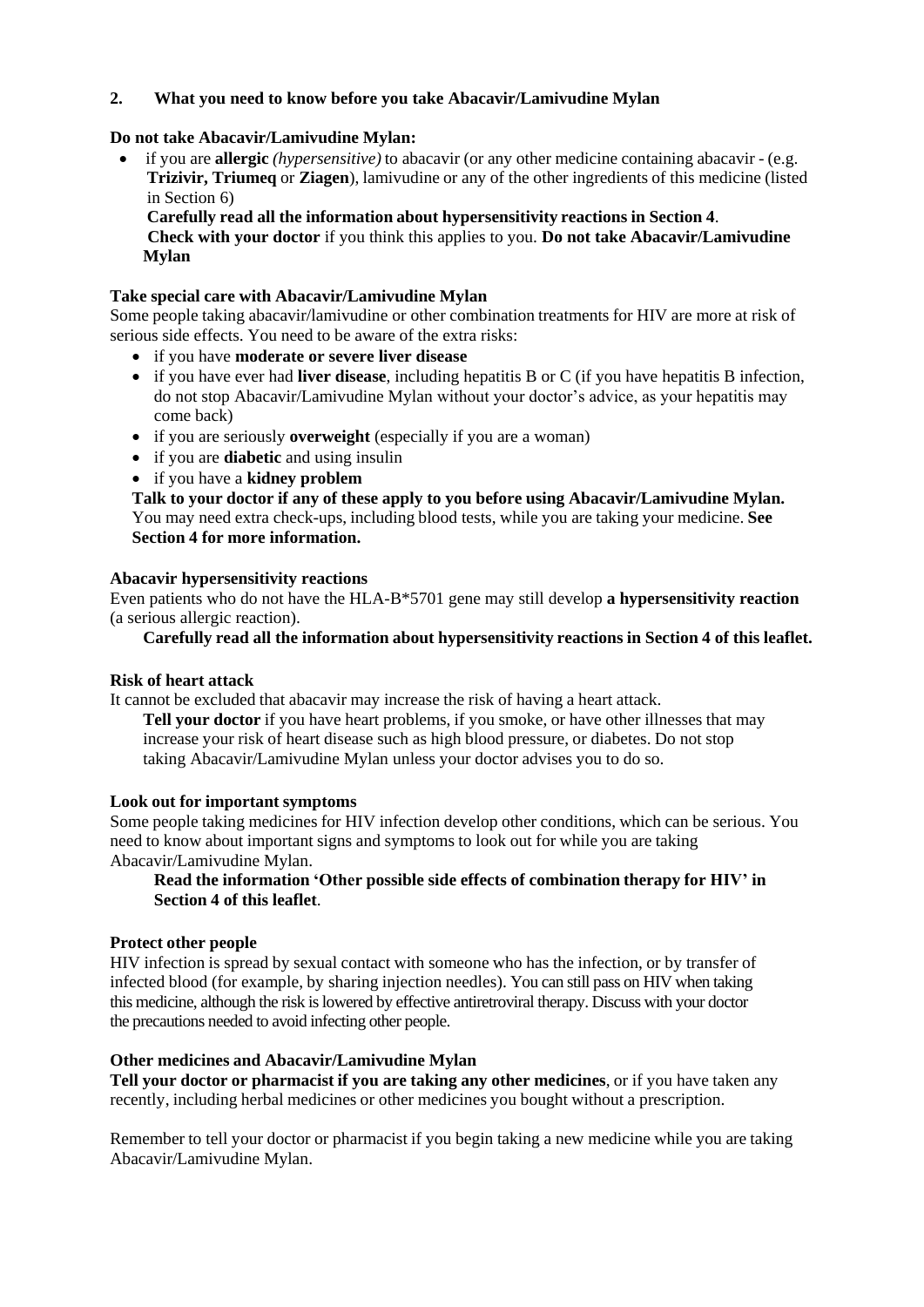## **2. What you need to know before you take Abacavir/Lamivudine Mylan**

### **Do not take Abacavir/Lamivudine Mylan:**

 if you are **allergic** *(hypersensitive)* to abacavir (or any other medicine containing abacavir - (e.g. **Trizivir, Triumeq** or **Ziagen**), lamivudine or any of the other ingredients of this medicine (listed in Section 6)

**Carefully read all the information about hypersensitivity reactions in Section 4**. **Check with your doctor** if you think this applies to you. **Do not take Abacavir/Lamivudine Mylan**

### **Take special care with Abacavir/Lamivudine Mylan**

Some people taking abacavir/lamivudine or other combination treatments for HIV are more at risk of serious side effects. You need to be aware of the extra risks:

- if you have **moderate or severe liver disease**
- if you have ever had **liver disease**, including hepatitis B or C (if you have hepatitis B infection, do not stop Abacavir/Lamivudine Mylan without your doctor's advice, as your hepatitis may come back)
- if you are seriously **overweight** (especially if you are a woman)
- if you are **diabetic** and using insulin
- if you have a **kidney problem**

**Talk to your doctor if any of these apply to you before using Abacavir/Lamivudine Mylan.** You may need extra check-ups, including blood tests, while you are taking your medicine. **See Section 4 for more information.**

### **Abacavir hypersensitivity reactions**

Even patients who do not have the HLA-B\*5701 gene may still develop **a hypersensitivity reaction** (a serious allergic reaction).

## **Carefully read all the information about hypersensitivity reactions in Section 4 of this leaflet.**

### **Risk of heart attack**

It cannot be excluded that abacavir may increase the risk of having a heart attack.

**Tell your doctor** if you have heart problems, if you smoke, or have other illnesses that may increase your risk of heart disease such as high blood pressure, or diabetes. Do not stop taking Abacavir/Lamivudine Mylan unless your doctor advises you to do so.

### **Look out for important symptoms**

Some people taking medicines for HIV infection develop other conditions, which can be serious. You need to know about important signs and symptoms to look out for while you are taking Abacavir/Lamivudine Mylan.

## **Read the information 'Other possible side effects of combination therapy for HIV' in Section 4 of this leaflet**.

### **Protect other people**

HIV infection is spread by sexual contact with someone who has the infection, or by transfer of infected blood (for example, by sharing injection needles). You can still pass on HIV when taking this medicine, although the risk is lowered by effective antiretroviral therapy. Discuss with your doctor the precautions needed to avoid infecting other people.

### **Other medicines and Abacavir/Lamivudine Mylan**

**Tell your doctor or pharmacist if you are taking any other medicines**, or if you have taken any recently, including herbal medicines or other medicines you bought without a prescription.

Remember to tell your doctor or pharmacist if you begin taking a new medicine while you are taking Abacavir/Lamivudine Mylan.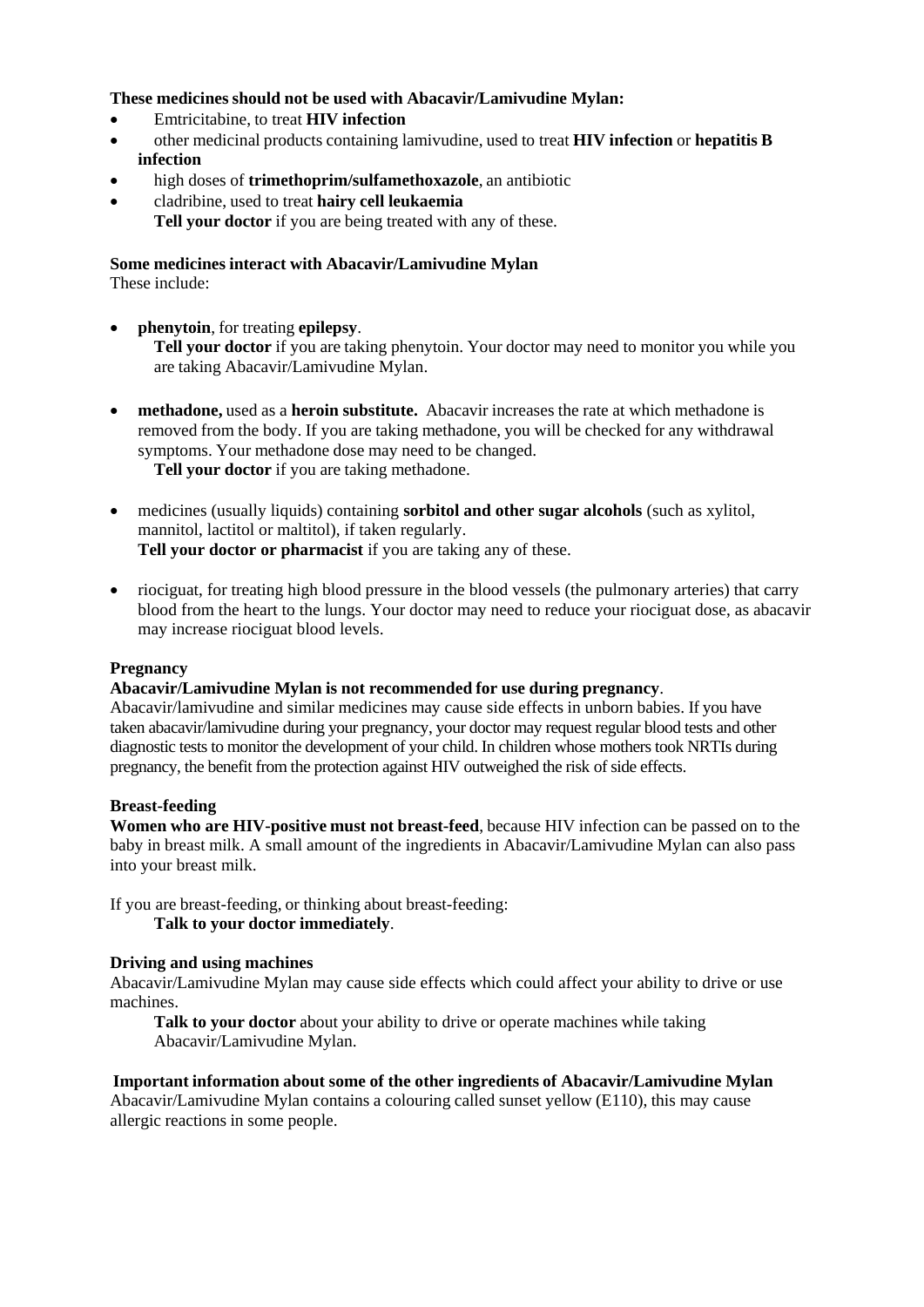## **These medicines should not be used with Abacavir/Lamivudine Mylan:**

- Emtricitabine, to treat **HIV infection**
- other medicinal products containing lamivudine, used to treat **HIV infection** or **hepatitis B infection**
- high doses of **trimethoprim/sulfamethoxazole**, an antibiotic
- cladribine, used to treat **hairy cell leukaemia Tell your doctor** if you are being treated with any of these.

## **Some medicines interact with Abacavir/Lamivudine Mylan**

These include:

**phenytoin**, for treating **epilepsy**.

**Tell your doctor** if you are taking phenytoin. Your doctor may need to monitor you while you are taking Abacavir/Lamivudine Mylan.

- **methadone,** used as a **heroin substitute.** Abacavir increases the rate at which methadone is removed from the body. If you are taking methadone, you will be checked for any withdrawal symptoms. Your methadone dose may need to be changed. **Tell your doctor** if you are taking methadone.
- medicines (usually liquids) containing **sorbitol and other sugar alcohols** (such as xylitol, mannitol, lactitol or maltitol), if taken regularly. **Tell your doctor or pharmacist** if you are taking any of these.
- riociguat, for treating high blood pressure in the blood vessels (the pulmonary arteries) that carry blood from the heart to the lungs. Your doctor may need to reduce your riociguat dose, as abacavir may increase riociguat blood levels.

# **Pregnancy**

# **Abacavir/Lamivudine Mylan is not recommended for use during pregnancy**.

Abacavir/lamivudine and similar medicines may cause side effects in unborn babies. If you have taken abacavir/lamivudine during your pregnancy, your doctor may request regular blood tests and other diagnostic tests to monitor the development of your child. In children whose mothers took NRTIs during pregnancy, the benefit from the protection against HIV outweighed the risk of side effects.

### **Breast-feeding**

**Women who are HIV-positive must not breast-feed**, because HIV infection can be passed on to the baby in breast milk. A small amount of the ingredients in Abacavir/Lamivudine Mylan can also pass into your breast milk.

If you are breast-feeding, or thinking about breast-feeding:

**Talk to your doctor immediately**.

# **Driving and using machines**

Abacavir/Lamivudine Mylan may cause side effects which could affect your ability to drive or use machines.

**Talk to your doctor** about your ability to drive or operate machines while taking Abacavir/Lamivudine Mylan.

# **Important information about some of the other ingredients of Abacavir/Lamivudine Mylan**

Abacavir/Lamivudine Mylan contains a colouring called sunset yellow (E110), this may cause allergic reactions in some people.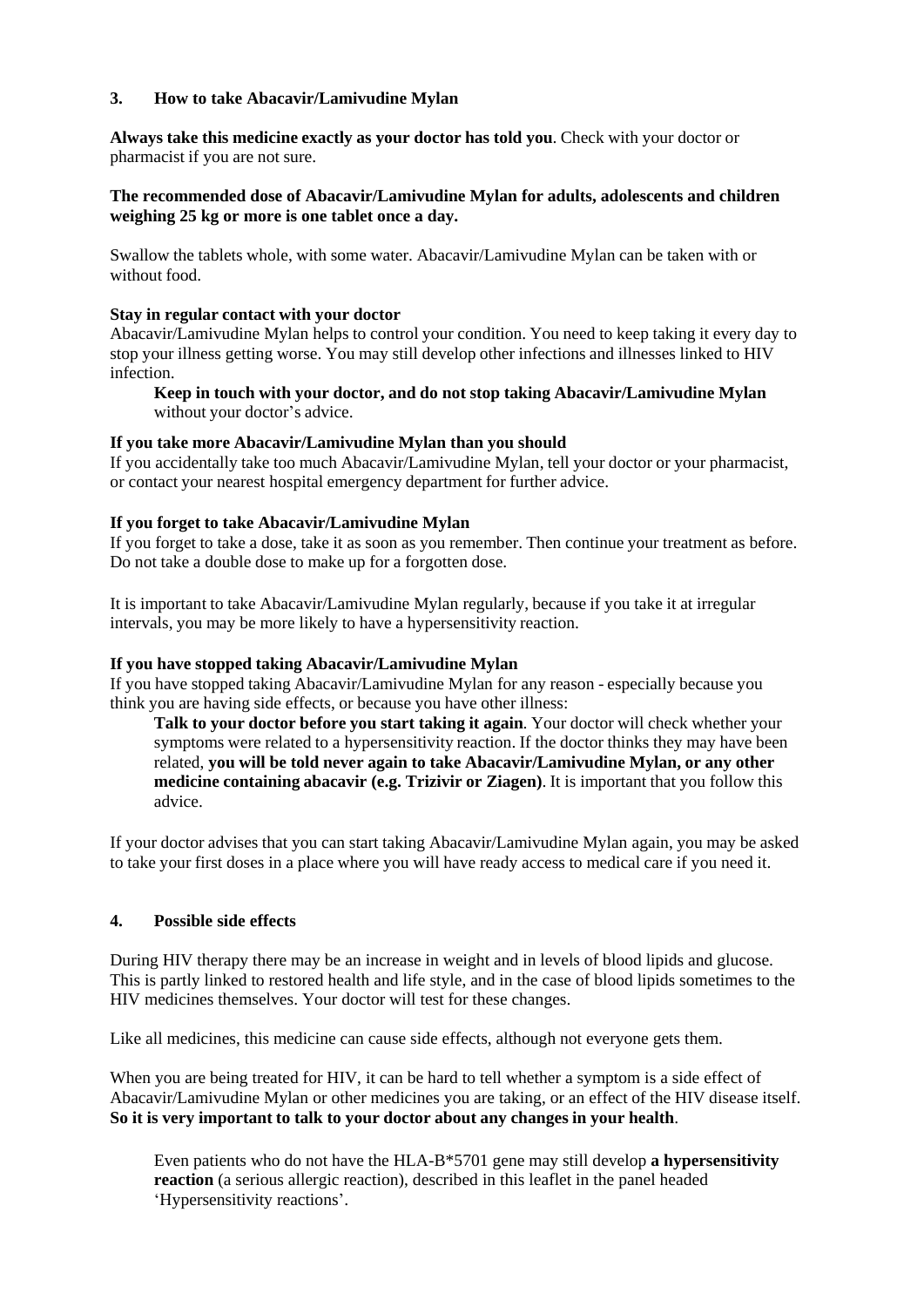## **3. How to take Abacavir/Lamivudine Mylan**

**Always take this medicine exactly as your doctor has told you**. Check with your doctor or pharmacist if you are not sure.

## **The recommended dose of Abacavir/Lamivudine Mylan for adults, adolescents and children weighing 25 kg or more is one tablet once a day.**

Swallow the tablets whole, with some water. Abacavir/Lamivudine Mylan can be taken with or without food.

#### **Stay in regular contact with your doctor**

Abacavir/Lamivudine Mylan helps to control your condition. You need to keep taking it every day to stop your illness getting worse. You may still develop other infections and illnesses linked to HIV infection.

## **Keep in touch with your doctor, and do not stop taking Abacavir/Lamivudine Mylan** without your doctor's advice.

### **If you take more Abacavir/Lamivudine Mylan than you should**

If you accidentally take too much Abacavir/Lamivudine Mylan, tell your doctor or your pharmacist, or contact your nearest hospital emergency department for further advice.

### **If you forget to take Abacavir/Lamivudine Mylan**

If you forget to take a dose, take it as soon as you remember. Then continue your treatment as before. Do not take a double dose to make up for a forgotten dose.

It is important to take Abacavir/Lamivudine Mylan regularly, because if you take it at irregular intervals, you may be more likely to have a hypersensitivity reaction.

### **If you have stopped taking Abacavir/Lamivudine Mylan**

If you have stopped taking Abacavir/Lamivudine Mylan for any reason - especially because you think you are having side effects, or because you have other illness:

**Talk to your doctor before you start taking it again**. Your doctor will check whether your symptoms were related to a hypersensitivity reaction. If the doctor thinks they may have been related, **you will be told never again to take Abacavir/Lamivudine Mylan, or any other medicine containing abacavir (e.g. Trizivir or Ziagen)**. It is important that you follow this advice.

If your doctor advises that you can start taking Abacavir/Lamivudine Mylan again, you may be asked to take your first doses in a place where you will have ready access to medical care if you need it.

### **4. Possible side effects**

During HIV therapy there may be an increase in weight and in levels of blood lipids and glucose. This is partly linked to restored health and life style, and in the case of blood lipids sometimes to the HIV medicines themselves. Your doctor will test for these changes.

Like all medicines, this medicine can cause side effects, although not everyone gets them.

When you are being treated for HIV, it can be hard to tell whether a symptom is a side effect of Abacavir/Lamivudine Mylan or other medicines you are taking, or an effect of the HIV disease itself. **So it is very important to talk to your doctor about any changes in your health**.

Even patients who do not have the HLA-B\*5701 gene may still develop **a hypersensitivity reaction** (a serious allergic reaction), described in this leaflet in the panel headed 'Hypersensitivity reactions'.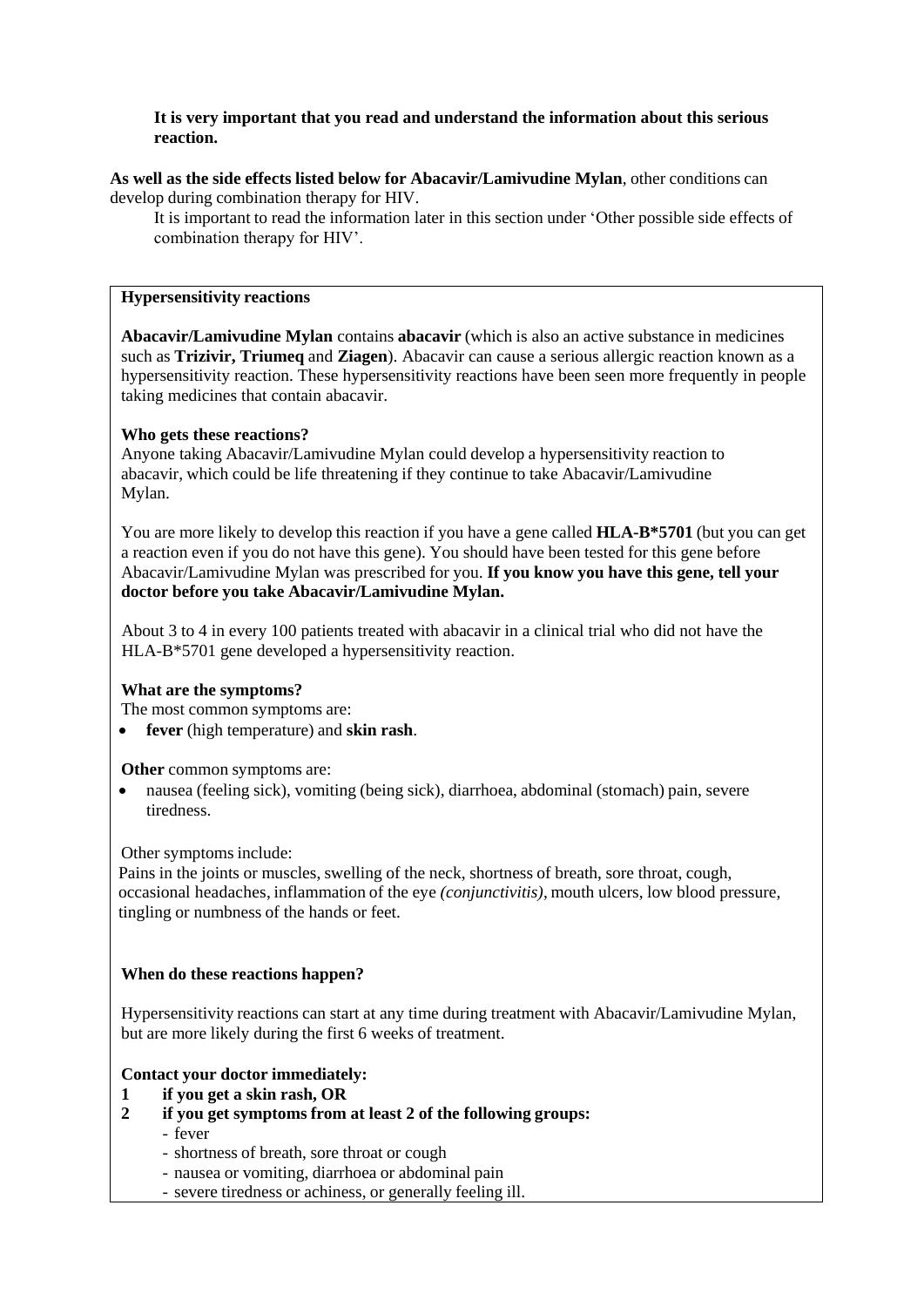### **It is very important that you read and understand the information about this serious reaction.**

**As well as the side effects listed below for Abacavir/Lamivudine Mylan**, other conditions can develop during combination therapy for HIV.

It is important to read the information later in this section under 'Other possible side effects of combination therapy for HIV'.

### **Hypersensitivity reactions**

**Abacavir/Lamivudine Mylan** contains **abacavir** (which is also an active substance in medicines such as **Trizivir, Triumeq** and **Ziagen**). Abacavir can cause a serious allergic reaction known as a hypersensitivity reaction. These hypersensitivity reactions have been seen more frequently in people taking medicines that contain abacavir.

### **Who gets these reactions?**

Anyone taking Abacavir/Lamivudine Mylan could develop a hypersensitivity reaction to abacavir, which could be life threatening if they continue to take Abacavir/Lamivudine Mylan.

You are more likely to develop this reaction if you have a gene called **HLA-B\*5701** (but you can get a reaction even if you do not have this gene). You should have been tested for this gene before Abacavir/Lamivudine Mylan was prescribed for you. **If you know you have this gene, tell your doctor before you take Abacavir/Lamivudine Mylan.**

About 3 to 4 in every 100 patients treated with abacavir in a clinical trial who did not have the HLA-B\*5701 gene developed a hypersensitivity reaction.

# **What are the symptoms?**

The most common symptoms are:

**fever** (high temperature) and **skin rash**.

**Other** common symptoms are:

 nausea (feeling sick), vomiting (being sick), diarrhoea, abdominal (stomach) pain, severe tiredness.

Other symptoms include:

Pains in the joints or muscles, swelling of the neck, shortness of breath, sore throat, cough, occasional headaches, inflammation of the eye *(conjunctivitis)*, mouth ulcers, low blood pressure, tingling or numbness of the hands or feet.

### **When do these reactions happen?**

Hypersensitivity reactions can start at any time during treatment with Abacavir/Lamivudine Mylan, but are more likely during the first 6 weeks of treatment.

# **Contact your doctor immediately:**

- **1 if you get a skin rash, OR**
- **2 if you get symptoms from at least 2 of the following groups:**
	- fever
		- shortness of breath, sore throat or cough
		- nausea or vomiting, diarrhoea or abdominal pain
	- severe tiredness or achiness, or generally feeling ill.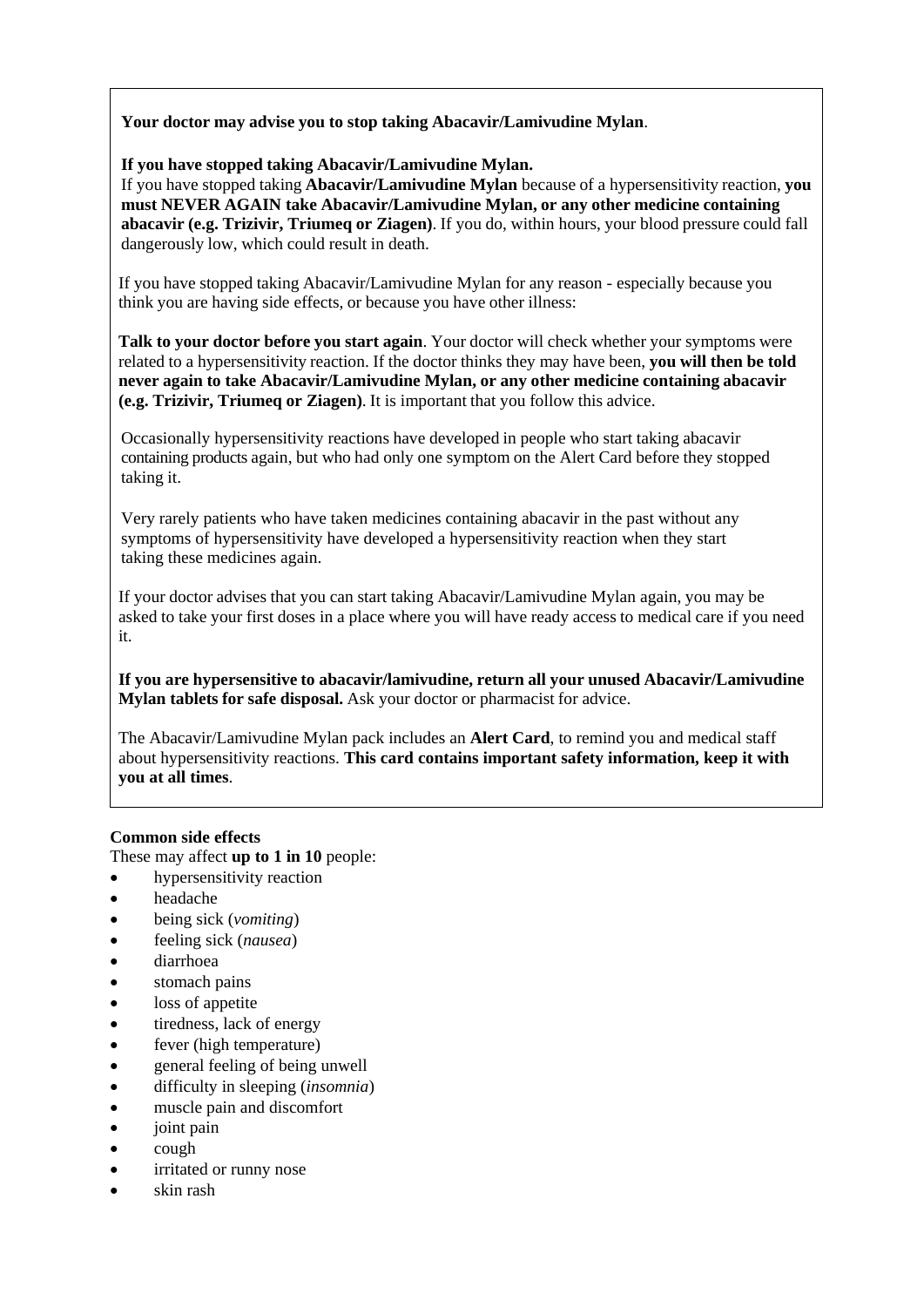# **Your doctor may advise you to stop taking Abacavir/Lamivudine Mylan**.

**If you have stopped taking Abacavir/Lamivudine Mylan.**

If you have stopped taking **Abacavir/Lamivudine Mylan** because of a hypersensitivity reaction, **you must NEVER AGAIN take Abacavir/Lamivudine Mylan, or any other medicine containing abacavir (e.g. Trizivir, Triumeq or Ziagen)**. If you do, within hours, your blood pressure could fall dangerously low, which could result in death.

If you have stopped taking Abacavir/Lamivudine Mylan for any reason - especially because you think you are having side effects, or because you have other illness:

**Talk to your doctor before you start again**. Your doctor will check whether your symptoms were related to a hypersensitivity reaction. If the doctor thinks they may have been, **you will then be told never again to take Abacavir/Lamivudine Mylan, or any other medicine containing abacavir (e.g. Trizivir, Triumeq or Ziagen)**. It is important that you follow this advice.

Occasionally hypersensitivity reactions have developed in people who start taking abacavir containing products again, but who had only one symptom on the Alert Card before they stopped taking it.

Very rarely patients who have taken medicines containing abacavir in the past without any symptoms of hypersensitivity have developed a hypersensitivity reaction when they start taking these medicines again.

If your doctor advises that you can start taking Abacavir/Lamivudine Mylan again, you may be asked to take your first doses in a place where you will have ready access to medical care if you need it.

**If you are hypersensitive to abacavir/lamivudine, return all your unused Abacavir/Lamivudine Mylan tablets for safe disposal.** Ask your doctor or pharmacist for advice.

The Abacavir/Lamivudine Mylan pack includes an **Alert Card**, to remind you and medical staff about hypersensitivity reactions. **This card contains important safety information, keep it with you at all times**.

### **Common side effects**

These may affect **up to 1 in 10** people:

- hypersensitivity reaction
- headache
- being sick (*vomiting*)
- feeling sick (*nausea*)
- diarrhoea
- stomach pains
- loss of appetite
- tiredness, lack of energy
- fever (high temperature)
- general feeling of being unwell
- difficulty in sleeping (*insomnia*)
- muscle pain and discomfort
- joint pain
- $\bullet$  cough
- irritated or runny nose
- skin rash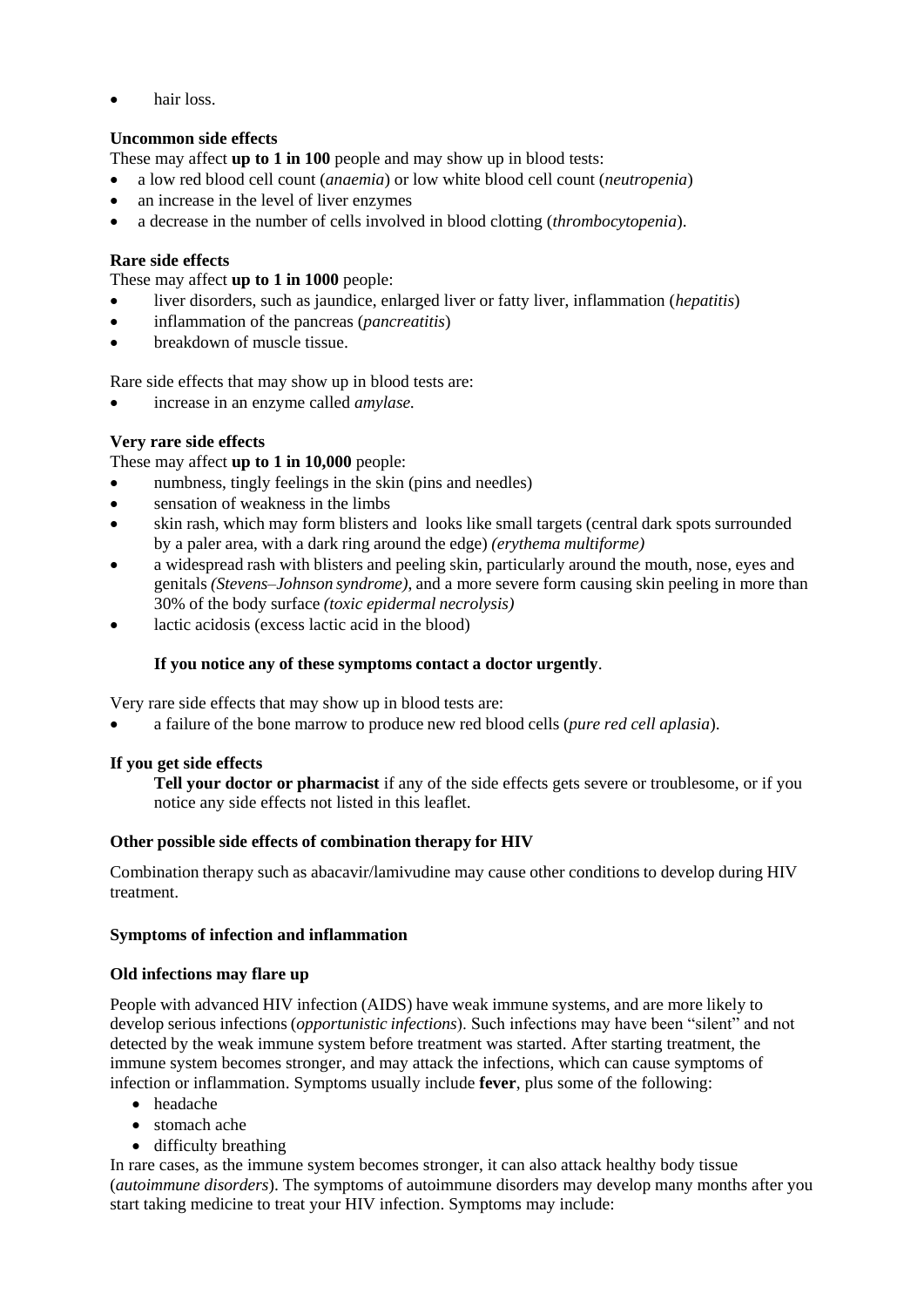**•** hair loss.

## **Uncommon side effects**

These may affect **up to 1 in 100** people and may show up in blood tests:

- a low red blood cell count (*anaemia*) or low white blood cell count (*neutropenia*)
- an increase in the level of liver enzymes
- a decrease in the number of cells involved in blood clotting (*thrombocytopenia*).

## **Rare side effects**

These may affect **up to 1 in 1000** people:

- liver disorders, such as jaundice, enlarged liver or fatty liver, inflammation (*hepatitis*)
- inflammation of the pancreas (*pancreatitis*)
- breakdown of muscle tissue.

Rare side effects that may show up in blood tests are:

increase in an enzyme called *amylase.*

## **Very rare side effects**

These may affect **up to 1 in 10,000** people:

- numbness, tingly feelings in the skin (pins and needles)
- sensation of weakness in the limbs
- skin rash, which may form blisters and looks like small targets (central dark spots surrounded by a paler area, with a dark ring around the edge) *(erythema multiforme)*
- a widespread rash with blisters and peeling skin, particularly around the mouth, nose, eyes and genitals *(Stevens–Johnson syndrome)*, and a more severe form causing skin peeling in more than 30% of the body surface *(toxic epidermal necrolysis)*
- lactic acidosis (excess lactic acid in the blood)

## **If you notice any of these symptoms contact a doctor urgently**.

Very rare side effects that may show up in blood tests are:

a failure of the bone marrow to produce new red blood cells (*pure red cell aplasia*).

# **If you get side effects**

**Tell your doctor or pharmacist** if any of the side effects gets severe or troublesome, or if you notice any side effects not listed in this leaflet.

### **Other possible side effects of combination therapy for HIV**

Combination therapy such as abacavir/lamivudine may cause other conditions to develop during HIV treatment.

### **Symptoms of infection and inflammation**

### **Old infections may flare up**

People with advanced HIV infection (AIDS) have weak immune systems, and are more likely to develop serious infections (*opportunistic infections*). Such infections may have been "silent" and not detected by the weak immune system before treatment was started. After starting treatment, the immune system becomes stronger, and may attack the infections, which can cause symptoms of infection or inflammation. Symptoms usually include **fever**, plus some of the following:

- headache
- stomach ache
- difficulty breathing

In rare cases, as the immune system becomes stronger, it can also attack healthy body tissue (*autoimmune disorders*). The symptoms of autoimmune disorders may develop many months after you start taking medicine to treat your HIV infection. Symptoms may include: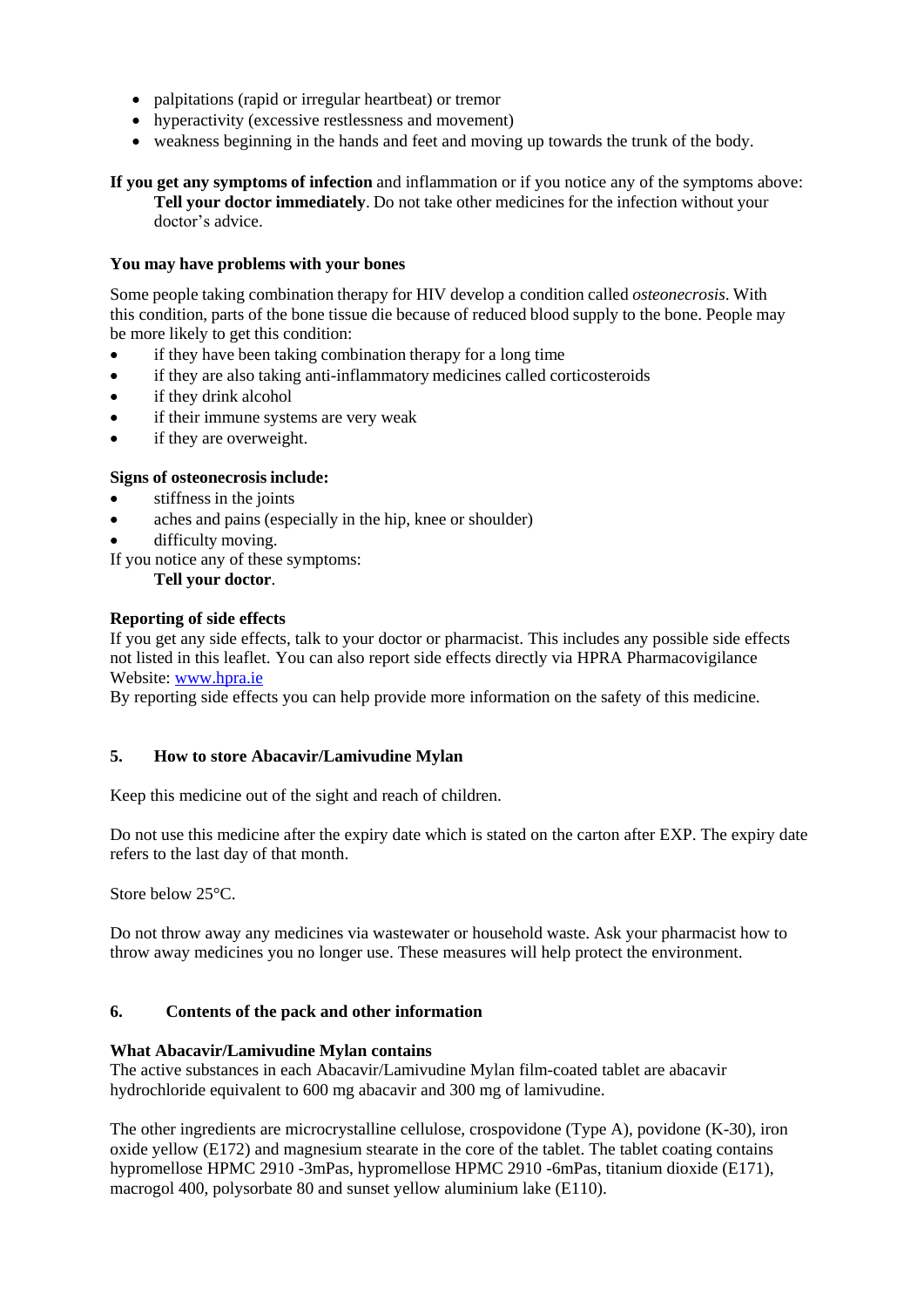- palpitations (rapid or irregular heartbeat) or tremor
- hyperactivity (excessive restlessness and movement)
- weakness beginning in the hands and feet and moving up towards the trunk of the body.

**If you get any symptoms of infection** and inflammation or if you notice any of the symptoms above: **Tell your doctor immediately**. Do not take other medicines for the infection without your doctor's advice.

## **You may have problems with your bones**

Some people taking combination therapy for HIV develop a condition called *osteonecrosis*. With this condition, parts of the bone tissue die because of reduced blood supply to the bone. People may be more likely to get this condition:

- if they have been taking combination therapy for a long time
- if they are also taking anti-inflammatory medicines called corticosteroids
- if they drink alcohol
- if their immune systems are very weak
- if they are overweight.

## **Signs of osteonecrosis include:**

- stiffness in the joints
- aches and pains (especially in the hip, knee or shoulder)
- difficulty moving.

If you notice any of these symptoms:

**Tell your doctor**.

## **Reporting of side effects**

If you get any side effects, talk to your doctor or pharmacist. This includes any possible side effects not listed in this leaflet. You can also report side effects directly via HPRA Pharmacovigilance Website: [www.hpra.ie](http://www.hpra.ie/)

By reporting side effects you can help provide more information on the safety of this medicine.

### **5. How to store Abacavir/Lamivudine Mylan**

Keep this medicine out of the sight and reach of children.

Do not use this medicine after the expiry date which is stated on the carton after EXP. The expiry date refers to the last day of that month.

Store below 25°C.

Do not throw away any medicines via wastewater or household waste. Ask your pharmacist how to throw away medicines you no longer use. These measures will help protect the environment.

# **6. Contents of the pack and other information**

### **What Abacavir/Lamivudine Mylan contains**

The active substances in each Abacavir/Lamivudine Mylan film-coated tablet are abacavir hydrochloride equivalent to 600 mg abacavir and 300 mg of lamivudine.

The other ingredients are microcrystalline cellulose, crospovidone (Type A), povidone (K-30), iron oxide yellow (E172) and magnesium stearate in the core of the tablet. The tablet coating contains hypromellose HPMC 2910 -3mPas, hypromellose HPMC 2910 -6mPas, titanium dioxide (E171), macrogol 400, polysorbate 80 and sunset yellow aluminium lake (E110).